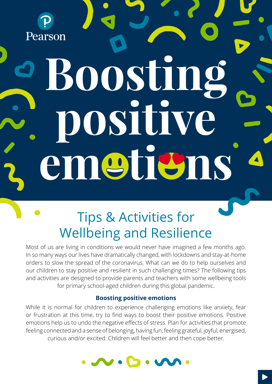

# **Boosting positive em ti ns**

# Tips & Activities for Wellbeing and Resilience

Most of us are living in conditions we would never have imagined a few months ago. In so many ways our lives have dramatically changed, with lockdowns and stay-at-home orders to slow the spread of the coronavirus. What can we do to help ourselves and our children to stay positive and resilient in such challenging times? The following tips and activities are designed to provide parents and teachers with some wellbeing tools for primary school-aged children during this global pandemic.

#### **Boosting positive emotions**

While it is normal for children to experience challenging emotions like anxiety, fear or frustration at this time, try to find ways to boost their positive emotions. Positive emotions help us to undo the negative effects of stress. Plan for activities that promote feeling connected and a sense of belonging, having fun, feeling grateful, joyful, energised, curious and/or excited. Children will feel better and then cope better.

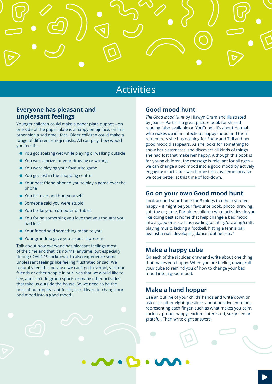## Activities

#### **Everyone has pleasant and unpleasant feelings**

Younger children could make a paper plate puppet – on one side of the paper plate is a happy emoji face, on the other side a sad emoji face. Older children could make a range of different emoji masks. All can play, how would you feel if….

- You got soaking wet while playing or walking outside
- You won a prize for your drawing or writing
- You were playing your favourite game
- You got lost in the shopping centre
- Your best friend phoned you to play a game over the phone
- You fell over and hurt yourself
- Someone said you were stupid
- You broke your computer or tablet
- You found something you love that you thought you had lost
- Your friend said something mean to you
- Your grandma gave you a special present.

Talk about how everyone has pleasant feelings most of the time and that it's normal anytime, but especially during COVID-19 lockdown, to also experience some unpleasant feelings like feeling frustrated or sad. We naturally feel this because we can't go to school, visit our friends or other people in our lives that we would like to see, and can't do group sports or many other activities that take us outside the house. So we need to be the boss of our unpleasant feelings and learn to change our bad mood into a good mood.

#### **Good mood hunt**

*The Good Mood Hunt* by Hiawyn Oram and illustrated by Joanne Partis is a great picture book for shared reading (also available on YouTube). It's about Hannah who wakes up in an infectious happy mood and then remembers she has nothing for Show and Tell and her good mood disappears. As she looks for something to show her classmates, she discovers all kinds of things she had lost that make her happy. Although this book is for young children, the message is relevant for all ages – we can change a bad mood into a good mood by actively engaging in activities which boost positive emotions, so we cope better at this time of lockdown.

#### **Go on your own Good mood hunt**

Look around your home for 3 things that help you feel happy – it might be your favourite book, photo, drawing, soft toy or game. For older children what activities do you like doing best at home that help change a bad mood into a good one, such as reading, painting/drawing/craft, playing music, kicking a football, hitting a tennis ball against a wall, developing dance routines etc.?

#### **Make a happy cube**

On each of the six sides draw and write about one thing that makes you happy. When you are feeling down, roll your cube to remind you of how to change your bad mood into a good mood.

#### **Make a hand hopper**

Use an outline of your child's hands and write down or ask each other eight questions about positive emotions representing each finger, such as what makes you calm, curious, proud, happy, excited, interested, surprised or grateful. Then write eight answers.